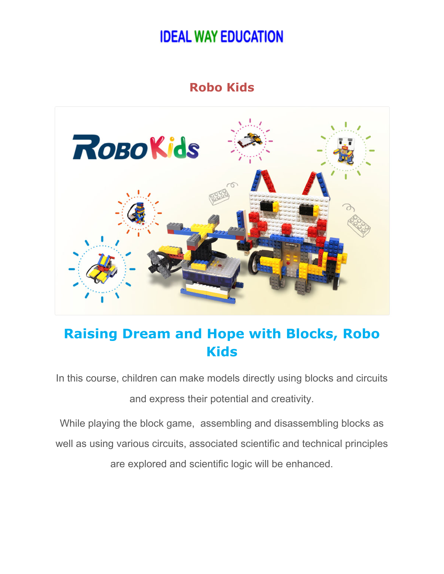## **Robo Kids**



## **Raising Dream and Hope with Blocks, Robo Kids**

In this course, children can make models directly using blocks and circuits and express their potential and creativity.

While playing the block game, assembling and disassembling blocks as well as using various circuits, associated scientific and technical principles are explored and scientific logic will be enhanced.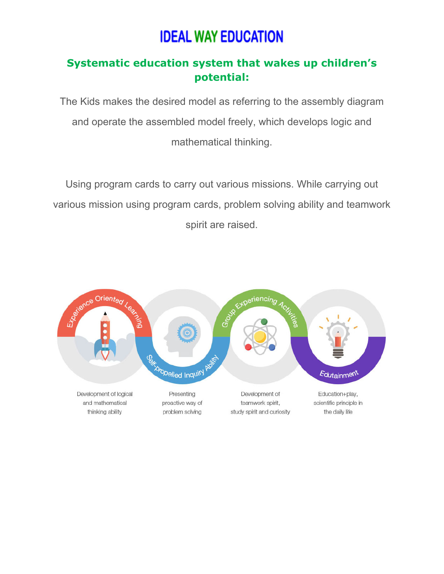### **Systematic education system that wakes up children's potential:**

The Kids makes the desired model as referring to the assembly diagram and operate the assembled model freely, which develops logic and mathematical thinking.

Using program cards to carry out various missions. While carrying out various mission using program cards, problem solving ability and teamwork spirit are raised.

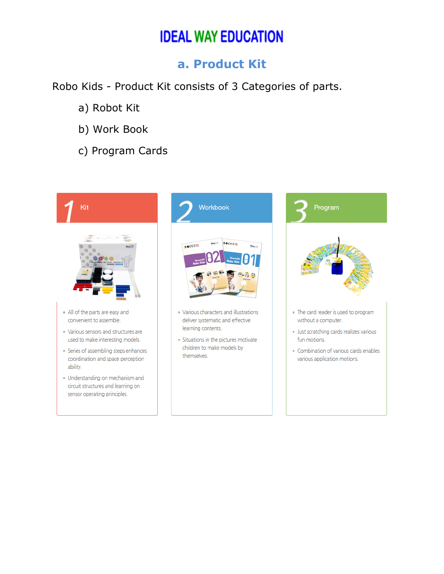### **a. Product Kit**

Robo Kids - Product Kit consists of 3 Categories of parts.

- a) Robot Kit
- b) Work Book
- c) Program Cards

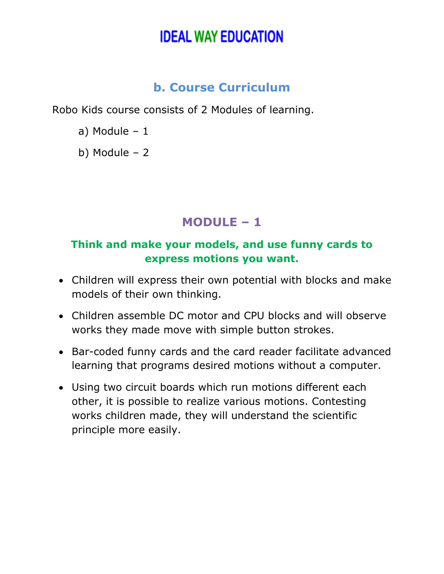## **b. Course Curriculum**

Robo Kids course consists of 2 Modules of learning.

- a) Module 1
- b) Module 2

## **MODULE – 1**

### **Think and make your models, and use funny cards to express motions you want.**

- Children will express their own potential with blocks and make models of their own thinking.
- Children assemble DC motor and CPU blocks and will observe works they made move with simple button strokes.
- Bar-coded funny cards and the card reader facilitate advanced learning that programs desired motions without a computer.
- Using two circuit boards which run motions different each other, it is possible to realize various motions. Contesting works children made, they will understand the scientific principle more easily.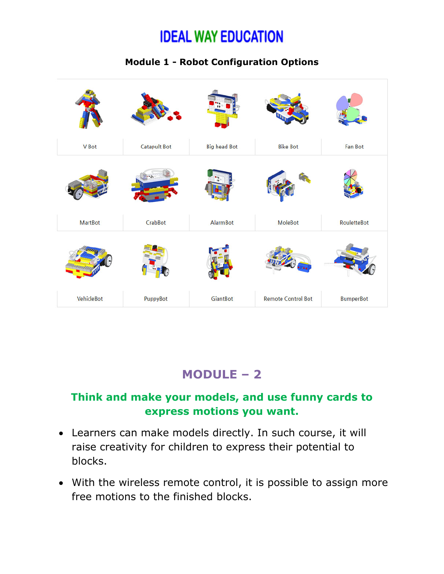#### **Module 1 - Robot Configuration Options**



## **MODULE – 2**

#### **Think and make your models, and use funny cards to express motions you want.**

- Learners can make models directly. In such course, it will raise creativity for children to express their potential to blocks.
- With the wireless remote control, it is possible to assign more free motions to the finished blocks.